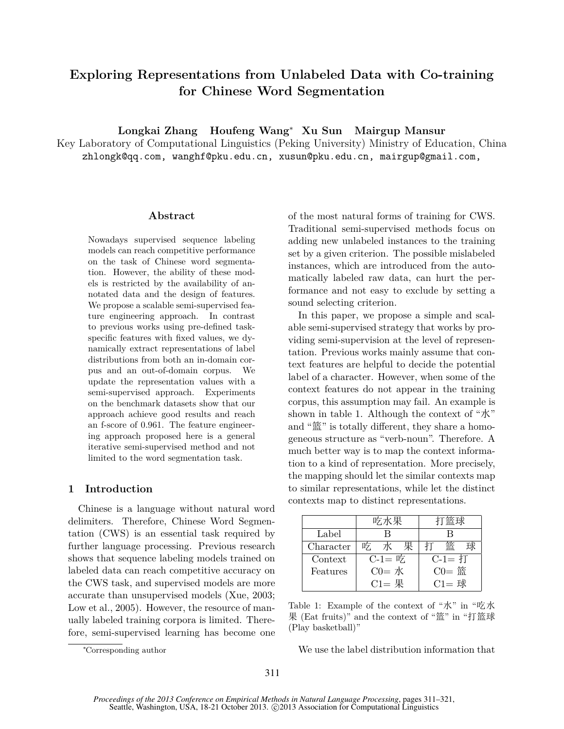# **Exploring Representations from Unlabeled Data with Co-training for Chinese Word Segmentation**

**Longkai Zhang Houfeng Wang***<sup>∗</sup>* **Xu Sun Mairgup Mansur**

Key Laboratory of Computational Linguistics (Peking University) Ministry of Education, China zhlongk@qq.com, wanghf@pku.edu.cn, xusun@pku.edu.cn, mairgup@gmail.com,

## **Abstract**

Nowadays supervised sequence labeling models can reach competitive performance on the task of Chinese word segmentation. However, the ability of these models is restricted by the availability of annotated data and the design of features. We propose a scalable semi-supervised feature engineering approach. In contrast to previous works using pre-defined taskspecific features with fixed values, we dynamically extract representations of label distributions from both an in-domain corpus and an out-of-domain corpus. We update the representation values with a semi-supervised approach. Experiments on the benchmark datasets show that our approach achieve good results and reach an f-score of 0.961. The feature engineering approach proposed here is a general iterative semi-supervised method and not limited to the word segmentation task.

## **1 Introduction**

Chinese is a language without natural word delimiters. Therefore, Chinese Word Segmentation (CWS) is an essential task required by further language processing. Previous research shows that sequence labeling models trained on labeled data can reach competitive accuracy on the CWS task, and supervised models are more accurate than unsupervised models (Xue, 2003; Low et al., 2005). However, the resource of manually labeled training corpora is limited. Therefore, semi-supervised learning has become one of the most natural forms of training for CWS. Traditional semi-supervised methods focus on adding new unlabeled instances to the training set by a given criterion. The possible mislabeled instances, which are introduced from the automatically labeled raw data, can hurt the performance and not easy to exclude by setting a sound selecting criterion.

In this paper, we propose a simple and scalable semi-supervised strategy that works by providing semi-supervision at the level of representation. Previous works mainly assume that context features are helpful to decide the potential label of a character. However, when some of the context features do not appear in the training corpus, this assumption may fail. An example is shown in table 1. Although the context of "水" and "篮" is totally different, they share a homogeneous structure as "verb-noun". Therefore. A much better way is to map the context information to a kind of representation. More precisely, the mapping should let the similar contexts map to similar representations, while let the distinct contexts map to distinct representations.

|           | 吃水果            |          |  |
|-----------|----------------|----------|--|
| Label     |                |          |  |
| Character | 吃<br>7K I<br>果 |          |  |
| Context   | $C-1 =$ 吃      | $C-1=1$  |  |
| Features  | $CO =$ 水       | $C0 =$ 篮 |  |
|           | $C1 = $ 果      | $C1 =$ 球 |  |

Table 1: Example of the context of "水" in "吃水 果 (Eat fruits)" and the context of "篮" in "打篮球 (Play basketball)"

We use the label distribution information that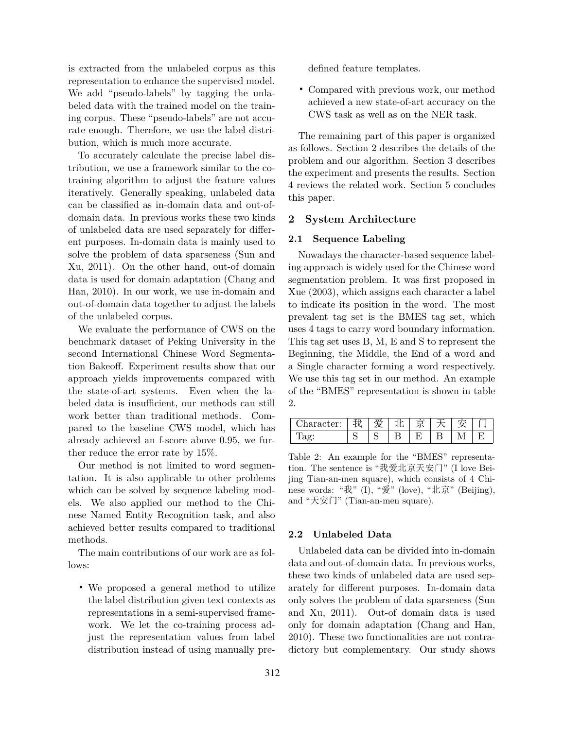is extracted from the unlabeled corpus as this representation to enhance the supervised model. We add "pseudo-labels" by tagging the unlabeled data with the trained model on the training corpus. These "pseudo-labels" are not accurate enough. Therefore, we use the label distribution, which is much more accurate.

To accurately calculate the precise label distribution, we use a framework similar to the cotraining algorithm to adjust the feature values iteratively. Generally speaking, unlabeled data can be classified as in-domain data and out-ofdomain data. In previous works these two kinds of unlabeled data are used separately for different purposes. In-domain data is mainly used to solve the problem of data sparseness (Sun and Xu, 2011). On the other hand, out-of domain data is used for domain adaptation (Chang and Han, 2010). In our work, we use in-domain and out-of-domain data together to adjust the labels of the unlabeled corpus.

We evaluate the performance of CWS on the benchmark dataset of Peking University in the second International Chinese Word Segmentation Bakeoff. Experiment results show that our approach yields improvements compared with the state-of-art systems. Even when the labeled data is insufficient, our methods can still work better than traditional methods. Compared to the baseline CWS model, which has already achieved an f-score above 0.95, we further reduce the error rate by 15%.

Our method is not limited to word segmentation. It is also applicable to other problems which can be solved by sequence labeling models. We also applied our method to the Chinese Named Entity Recognition task, and also achieved better results compared to traditional methods.

The main contributions of our work are as follows:

• We proposed a general method to utilize the label distribution given text contexts as representations in a semi-supervised framework. We let the co-training process adjust the representation values from label distribution instead of using manually predefined feature templates.

• Compared with previous work, our method achieved a new state-of-art accuracy on the CWS task as well as on the NER task.

The remaining part of this paper is organized as follows. Section 2 describes the details of the problem and our algorithm. Section 3 describes the experiment and presents the results. Section 4 reviews the related work. Section 5 concludes this paper.

# **2 System Architecture**

# **2.1 Sequence Labeling**

Nowadays the character-based sequence labeling approach is widely used for the Chinese word segmentation problem. It was first proposed in Xue (2003), which assigns each character a label to indicate its position in the word. The most prevalent tag set is the BMES tag set, which uses 4 tags to carry word boundary information. This tag set uses B, M, E and S to represent the Beginning, the Middle, the End of a word and a Single character forming a word respectively. We use this tag set in our method. An example of the "BMES" representation is shown in table 2.

| aracter: |  |  |  |  |
|----------|--|--|--|--|
| エーマー     |  |  |  |  |

Table 2: An example for the "BMES" representation. The sentence is "我爱北京天安门" (I love Beijing Tian-an-men square), which consists of 4 Chinese words: "我" (I), "爱" (love), "北京" (Beijing), and "天安门" (Tian-an-men square).

## **2.2 Unlabeled Data**

Unlabeled data can be divided into in-domain data and out-of-domain data. In previous works, these two kinds of unlabeled data are used separately for different purposes. In-domain data only solves the problem of data sparseness (Sun and Xu, 2011). Out-of domain data is used only for domain adaptation (Chang and Han, 2010). These two functionalities are not contradictory but complementary. Our study shows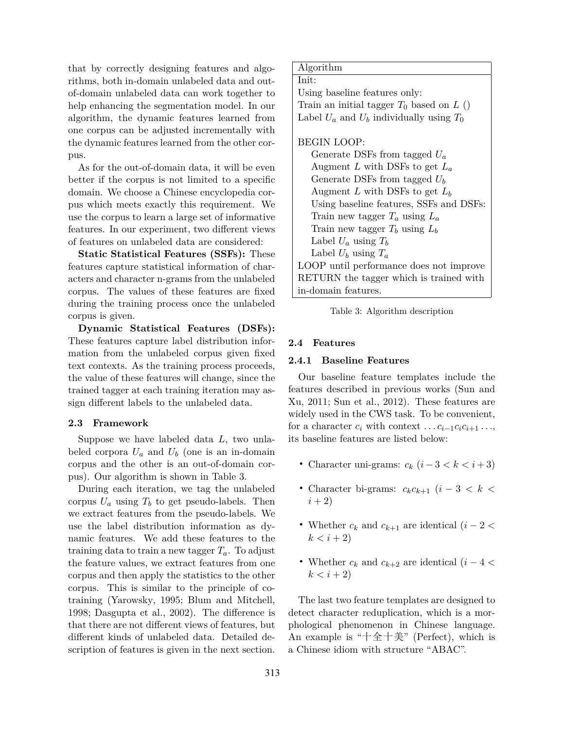that by correctly designing features and algorithms, both in-domain unlabeled data and outof-domain unlabeled data can work together to help enhancing the segmentation model. In our algorithm, the dynamic features learned from one corpus can be adjusted incrementally with the dynamic features learned from the other corpus.

As for the out-of-domain data, it will be even better if the corpus is not limited to a specific domain. We choose a Chinese encyclopedia corpus which meets exactly this requirement. We use the corpus to learn a large set of informative features. In our experiment, two different views of features on unlabeled data are considered:

**Static Statistical Features (SSFs):** These features capture statistical information of characters and character n-grams from the unlabeled corpus. The values of these features are fixed during the training process once the unlabeled corpus is given.

**Dynamic Statistical Features (DSFs):** These features capture label distribution information from the unlabeled corpus given fixed text contexts. As the training process proceeds, the value of these features will change, since the trained tagger at each training iteration may assign different labels to the unlabeled data.

## **2.3 Framework**

Suppose we have labeled data *L*, two unlabeled corpora  $U_a$  and  $U_b$  (one is an in-domain corpus and the other is an out-of-domain corpus). Our algorithm is shown in Table 3.

During each iteration, we tag the unlabeled corpus  $U_a$  using  $T_b$  to get pseudo-labels. Then we extract features from the pseudo-labels. We use the label distribution information as dynamic features. We add these features to the training data to train a new tagger  $T_a$ . To adjust the feature values, we extract features from one corpus and then apply the statistics to the other corpus. This is similar to the principle of cotraining (Yarowsky, 1995; Blum and Mitchell, 1998; Dasgupta et al., 2002). The difference is that there are not different views of features, but different kinds of unlabeled data. Detailed description of features is given in the next section.

#### Algorithm

Init: Using baseline features only: Train an initial tagger  $T_0$  based on  $L$  () Label  $U_a$  and  $U_b$  individually using  $T_0$ 

## BEGIN LOOP:

Generate DSFs from tagged *U<sup>a</sup>* Augment *L* with DSFs to get *L<sup>a</sup>* Generate DSFs from tagged *U<sup>b</sup>* Augment *L* with DSFs to get *L<sup>b</sup>* Using baseline features, SSFs and DSFs: Train new tagger *T<sup>a</sup>* using *L<sup>a</sup>* Train new tagger  $T_b$  using  $L_b$ Label  $U_a$  using  $T_b$ Label  $U_b$  using  $T_a$ LOOP until performance does not improve RETURN the tagger which is trained with in-domain features.

|  |  | Table 3: Algorithm description |  |
|--|--|--------------------------------|--|
|--|--|--------------------------------|--|

#### **2.4 Features**

#### **2.4.1 Baseline Features**

Our baseline feature templates include the features described in previous works (Sun and Xu, 2011; Sun et al., 2012). These features are widely used in the CWS task. To be convenient, for a character  $c_i$  with context  $\dots c_{i-1}c_ic_{i+1}\dots$ its baseline features are listed below:

- Character uni-grams:  $c_k$   $(i-3 < k < i+3)$
- Character bi-grams: *<sup>c</sup>kck*+1 (*<sup>i</sup> <sup>−</sup>* <sup>3</sup> *< k <*  $(i + 2)$
- Whether  $c_k$  and  $c_{k+1}$  are identical  $(i-2 <$  $k < i + 2$
- Whether *<sup>c</sup><sup>k</sup>* and *<sup>c</sup>k*+2 are identical (*<sup>i</sup> <sup>−</sup>* <sup>4</sup> *<sup>&</sup>lt;*  $k < i + 2$

The last two feature templates are designed to detect character reduplication, which is a morphological phenomenon in Chinese language. An example is "十全十美" (Perfect), which is a Chinese idiom with structure "ABAC".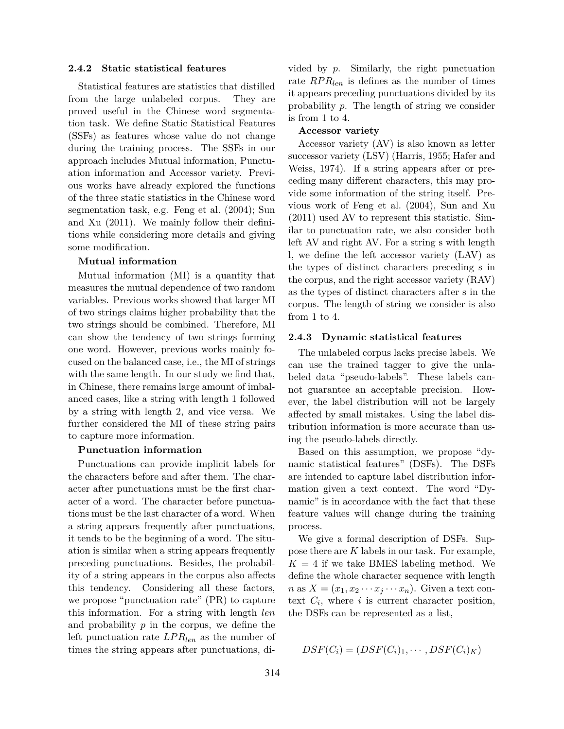#### **2.4.2 Static statistical features**

Statistical features are statistics that distilled from the large unlabeled corpus. They are proved useful in the Chinese word segmentation task. We define Static Statistical Features (SSFs) as features whose value do not change during the training process. The SSFs in our approach includes Mutual information, Punctuation information and Accessor variety. Previous works have already explored the functions of the three static statistics in the Chinese word segmentation task, e.g. Feng et al. (2004); Sun and Xu (2011). We mainly follow their definitions while considering more details and giving some modification.

#### **Mutual information**

Mutual information (MI) is a quantity that measures the mutual dependence of two random variables. Previous works showed that larger MI of two strings claims higher probability that the two strings should be combined. Therefore, MI can show the tendency of two strings forming one word. However, previous works mainly focused on the balanced case, i.e., the MI of strings with the same length. In our study we find that, in Chinese, there remains large amount of imbalanced cases, like a string with length 1 followed by a string with length 2, and vice versa. We further considered the MI of these string pairs to capture more information.

#### **Punctuation information**

Punctuations can provide implicit labels for the characters before and after them. The character after punctuations must be the first character of a word. The character before punctuations must be the last character of a word. When a string appears frequently after punctuations, it tends to be the beginning of a word. The situation is similar when a string appears frequently preceding punctuations. Besides, the probability of a string appears in the corpus also affects this tendency. Considering all these factors, we propose "punctuation rate" (PR) to capture this information. For a string with length *len* and probability *p* in the corpus, we define the left punctuation rate *LP Rlen* as the number of times the string appears after punctuations, divided by *p*. Similarly, the right punctuation rate  $RPR_{len}$  is defines as the number of times it appears preceding punctuations divided by its probability *p*. The length of string we consider is from 1 to 4.

#### **Accessor variety**

Accessor variety (AV) is also known as letter successor variety (LSV) (Harris, 1955; Hafer and Weiss, 1974). If a string appears after or preceding many different characters, this may provide some information of the string itself. Previous work of Feng et al. (2004), Sun and Xu (2011) used AV to represent this statistic. Similar to punctuation rate, we also consider both left AV and right AV. For a string s with length l, we define the left accessor variety (LAV) as the types of distinct characters preceding s in the corpus, and the right accessor variety (RAV) as the types of distinct characters after s in the corpus. The length of string we consider is also from 1 to 4.

#### **2.4.3 Dynamic statistical features**

The unlabeled corpus lacks precise labels. We can use the trained tagger to give the unlabeled data "pseudo-labels". These labels cannot guarantee an acceptable precision. However, the label distribution will not be largely affected by small mistakes. Using the label distribution information is more accurate than using the pseudo-labels directly.

Based on this assumption, we propose "dynamic statistical features" (DSFs). The DSFs are intended to capture label distribution information given a text context. The word "Dynamic" is in accordance with the fact that these feature values will change during the training process.

We give a formal description of DSFs. Suppose there are *K* labels in our task. For example,  $K = 4$  if we take BMES labeling method. We define the whole character sequence with length  $n$  as  $X = (x_1, x_2 \cdots x_j \cdots x_n)$ . Given a text context  $C_i$ , where  $i$  is current character position, the DSFs can be represented as a list,

$$
DSF(C_i) = (DSF(C_i)_1, \cdots, DSF(C_i)_K)
$$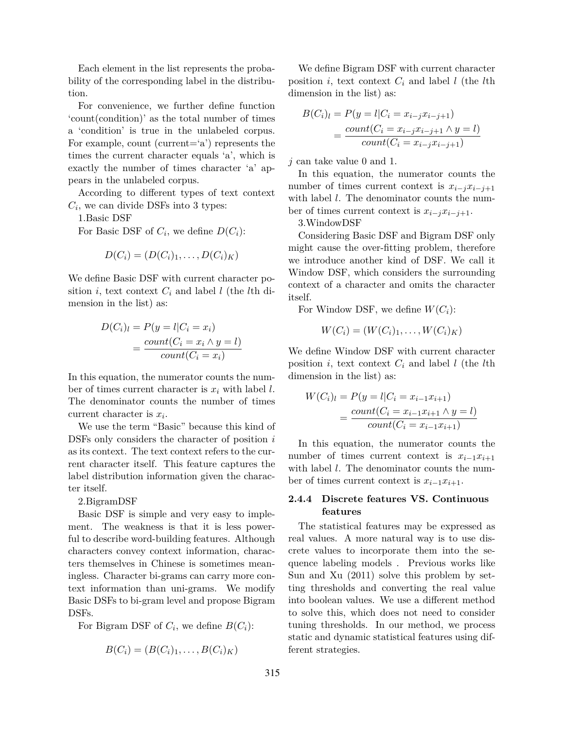Each element in the list represents the probability of the corresponding label in the distribution.

For convenience, we further define function 'count(condition)' as the total number of times a 'condition' is true in the unlabeled corpus. For example, count (current= $a'$ ) represents the times the current character equals 'a', which is exactly the number of times character 'a' appears in the unlabeled corpus.

According to different types of text context  $C_i$ , we can divide DSFs into 3 types:

1.Basic DSF

For Basic DSF of  $C_i$ , we define  $D(C_i)$ :

$$
D(C_i) = (D(C_i)_1, \ldots, D(C_i)_K)
$$

We define Basic DSF with current character position *i*, text context  $C_i$  and label *l* (the *l*th dimension in the list) as:

$$
D(C_i)_l = P(y = l | C_i = x_i)
$$
  
= 
$$
\frac{count(C_i = x_i \land y = l)}{count(C_i = x_i)}
$$

In this equation, the numerator counts the number of times current character is *x<sup>i</sup>* with label *l*. The denominator counts the number of times current character is *x<sup>i</sup>* .

We use the term "Basic" because this kind of DSFs only considers the character of position *i* as its context. The text context refers to the current character itself. This feature captures the label distribution information given the character itself.

2.BigramDSF

Basic DSF is simple and very easy to implement. The weakness is that it is less powerful to describe word-building features. Although characters convey context information, characters themselves in Chinese is sometimes meaningless. Character bi-grams can carry more context information than uni-grams. We modify Basic DSFs to bi-gram level and propose Bigram DSFs.

For Bigram DSF of  $C_i$ , we define  $B(C_i)$ :

$$
B(C_i) = (B(C_i)_1, \ldots, B(C_i)_K)
$$

We define Bigram DSF with current character position *i*, text context  $C_i$  and label *l* (the *l*th dimension in the list) as:

$$
B(C_i)_l = P(y = l | C_i = x_{i-j} x_{i-j+1})
$$
  
= 
$$
\frac{count(C_i = x_{i-j} x_{i-j+1} \land y = l)}{count(C_i = x_{i-j} x_{i-j+1})}
$$

*j* can take value 0 and 1.

In this equation, the numerator counts the number of times current context is  $x_{i-i}x_{i-i+1}$ with label *l*. The denominator counts the number of times current context is  $x_{i-j}x_{i-j+1}$ .

3.WindowDSF

Considering Basic DSF and Bigram DSF only might cause the over-fitting problem, therefore we introduce another kind of DSF. We call it Window DSF, which considers the surrounding context of a character and omits the character itself.

For Window DSF, we define  $W(C_i)$ :

$$
W(C_i) = (W(C_i)_1, \ldots, W(C_i)_K)
$$

We define Window DSF with current character position  $i$ , text context  $C_i$  and label  $l$  (the  $l$ th dimension in the list) as:

$$
W(C_i)_l = P(y = l | C_i = x_{i-1}x_{i+1})
$$
  
= 
$$
\frac{count(C_i = x_{i-1}x_{i+1} \land y = l)}{count(C_i = x_{i-1}x_{i+1})}
$$

In this equation, the numerator counts the number of times current context is  $x_{i-1}x_{i+1}$ with label *l*. The denominator counts the number of times current context is  $x_{i-1}x_{i+1}$ .

# **2.4.4 Discrete features VS. Continuous features**

The statistical features may be expressed as real values. A more natural way is to use discrete values to incorporate them into the sequence labeling models . Previous works like Sun and Xu (2011) solve this problem by setting thresholds and converting the real value into boolean values. We use a different method to solve this, which does not need to consider tuning thresholds. In our method, we process static and dynamic statistical features using different strategies.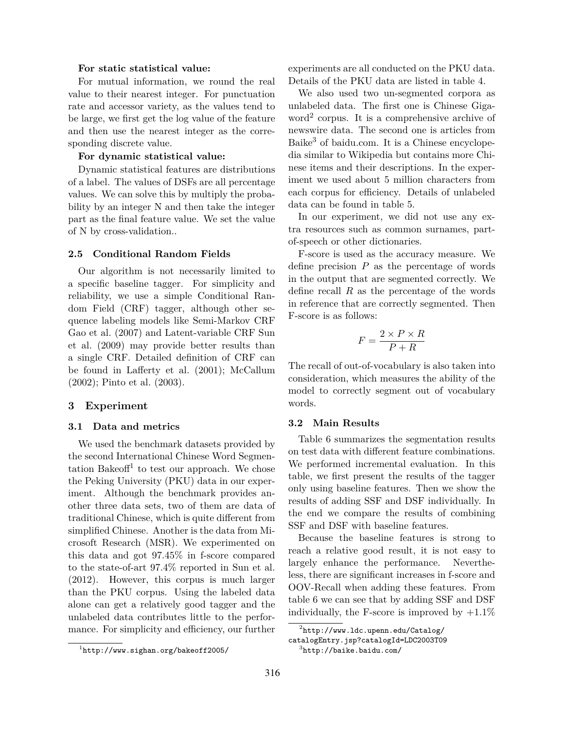## **For static statistical value:**

For mutual information, we round the real value to their nearest integer. For punctuation rate and accessor variety, as the values tend to be large, we first get the log value of the feature and then use the nearest integer as the corresponding discrete value.

# **For dynamic statistical value:**

Dynamic statistical features are distributions of a label. The values of DSFs are all percentage values. We can solve this by multiply the probability by an integer N and then take the integer part as the final feature value. We set the value of N by cross-validation..

#### **2.5 Conditional Random Fields**

Our algorithm is not necessarily limited to a specific baseline tagger. For simplicity and reliability, we use a simple Conditional Random Field (CRF) tagger, although other sequence labeling models like Semi-Markov CRF Gao et al. (2007) and Latent-variable CRF Sun et al. (2009) may provide better results than a single CRF. Detailed definition of CRF can be found in Lafferty et al. (2001); McCallum (2002); Pinto et al. (2003).

#### **3 Experiment**

#### **3.1 Data and metrics**

We used the benchmark datasets provided by the second International Chinese Word Segmentation Bakeoff<sup>1</sup> to test our approach. We chose the Peking University (PKU) data in our experiment. Although the benchmark provides another three data sets, two of them are data of traditional Chinese, which is quite different from simplified Chinese. Another is the data from Microsoft Research (MSR). We experimented on this data and got 97.45% in f-score compared to the state-of-art 97.4% reported in Sun et al. (2012). However, this corpus is much larger than the PKU corpus. Using the labeled data alone can get a relatively good tagger and the unlabeled data contributes little to the performance. For simplicity and efficiency, our further

experiments are all conducted on the PKU data. Details of the PKU data are listed in table 4.

We also used two un-segmented corpora as unlabeled data. The first one is Chinese Gigaword<sup>2</sup> corpus. It is a comprehensive archive of newswire data. The second one is articles from Baike<sup>3</sup> of baidu.com. It is a Chinese encyclopedia similar to Wikipedia but contains more Chinese items and their descriptions. In the experiment we used about 5 million characters from each corpus for efficiency. Details of unlabeled data can be found in table 5.

In our experiment, we did not use any extra resources such as common surnames, partof-speech or other dictionaries.

F-score is used as the accuracy measure. We define precision *P* as the percentage of words in the output that are segmented correctly. We define recall *R* as the percentage of the words in reference that are correctly segmented. Then F-score is as follows:

$$
F = \frac{2 \times P \times R}{P + R}
$$

The recall of out-of-vocabulary is also taken into consideration, which measures the ability of the model to correctly segment out of vocabulary words.

#### **3.2 Main Results**

Table 6 summarizes the segmentation results on test data with different feature combinations. We performed incremental evaluation. In this table, we first present the results of the tagger only using baseline features. Then we show the results of adding SSF and DSF individually. In the end we compare the results of combining SSF and DSF with baseline features.

Because the baseline features is strong to reach a relative good result, it is not easy to largely enhance the performance. Nevertheless, there are significant increases in f-score and OOV-Recall when adding these features. From table 6 we can see that by adding SSF and DSF individually, the F-score is improved by  $+1.1\%$ 

 $1$ http://www.sighan.org/bakeoff2005/

 $^{2}$ http://www.ldc.upenn.edu/Catalog/

catalogEntry.jsp?catalogId=LDC2003T09

 ${}^{3}$ http://baike.baidu.com/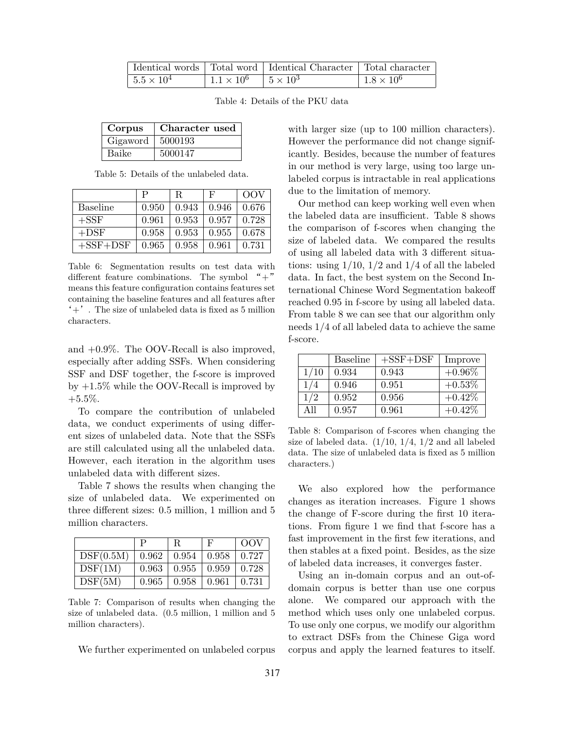|                   |                                   | Identical words   Total word   Identical Character   Total character |                   |
|-------------------|-----------------------------------|----------------------------------------------------------------------|-------------------|
| $1.5 \times 10^4$ | $1.1 \times 10^6$ $5 \times 10^3$ |                                                                      | $1.8 \times 10^6$ |

Table 4: Details of the PKU data

| Corpus   | Character used |
|----------|----------------|
| Gigaword | 5000193        |
| Baike    | 5000147        |

Table 5: Details of the unlabeled data.

|                 | P     | R     | F     | OOV   |
|-----------------|-------|-------|-------|-------|
| <b>Baseline</b> | 0.950 | 0.943 | 0.946 | 0.676 |
| $+$ SSF         | 0.961 | 0.953 | 0.957 | 0.728 |
| $+$ DSF         | 0.958 | 0.953 | 0.955 | 0.678 |
| $+$ SSF $+$ DSF | 0.965 | 0.958 | 0.961 | 0.731 |

Table 6: Segmentation results on test data with different feature combinations. The symbol  $" +"$ means this feature configuration contains features set containing the baseline features and all features after  $'+'$ . The size of unlabeled data is fixed as 5 million characters.

and +0.9%. The OOV-Recall is also improved, especially after adding SSFs. When considering SSF and DSF together, the f-score is improved by  $+1.5\%$  while the OOV-Recall is improved by  $+5.5\%$ .

To compare the contribution of unlabeled data, we conduct experiments of using different sizes of unlabeled data. Note that the SSFs are still calculated using all the unlabeled data. However, each iteration in the algorithm uses unlabeled data with different sizes.

Table 7 shows the results when changing the size of unlabeled data. We experimented on three different sizes: 0.5 million, 1 million and 5 million characters.

|           |       | R                 | F     | OOV          |
|-----------|-------|-------------------|-------|--------------|
| DSF(0.5M) | 0.962 | 0.954             | 0.958 | $\pm 0.727$  |
| DSF(1M)   | 0.963 | $0.955 \pm 0.959$ |       | $\mid$ 0.728 |
| DSF(5M)   | 0.965 | 0.958             | 0.961 | $\pm 0.731$  |

Table 7: Comparison of results when changing the size of unlabeled data. (0.5 million, 1 million and 5 million characters).

We further experimented on unlabeled corpus

with larger size (up to 100 million characters). However the performance did not change significantly. Besides, because the number of features in our method is very large, using too large unlabeled corpus is intractable in real applications due to the limitation of memory.

Our method can keep working well even when the labeled data are insufficient. Table 8 shows the comparison of f-scores when changing the size of labeled data. We compared the results of using all labeled data with 3 different situations: using  $1/10$ ,  $1/2$  and  $1/4$  of all the labeled data. In fact, the best system on the Second International Chinese Word Segmentation bakeoff reached 0.95 in f-score by using all labeled data. From table 8 we can see that our algorithm only needs 1/4 of all labeled data to achieve the same f-score.

|      | <b>Baseline</b> | $+$ SSF $+$ DSF | Improve   |
|------|-----------------|-----------------|-----------|
| 1/10 | 0.934           | 0.943           | $+0.96\%$ |
| 1/4  | 0.946           | 0.951           | $+0.53\%$ |
| 1/2  | 0.952           | 0.956           | $+0.42\%$ |
| All  | 0.957           | 0.961           | $+0.42\%$ |

Table 8: Comparison of f-scores when changing the size of labeled data.  $(1/10, 1/4, 1/2, )$  and all labeled data. The size of unlabeled data is fixed as 5 million characters.)

We also explored how the performance changes as iteration increases. Figure 1 shows the change of F-score during the first 10 iterations. From figure 1 we find that f-score has a fast improvement in the first few iterations, and then stables at a fixed point. Besides, as the size of labeled data increases, it converges faster.

Using an in-domain corpus and an out-ofdomain corpus is better than use one corpus alone. We compared our approach with the method which uses only one unlabeled corpus. To use only one corpus, we modify our algorithm to extract DSFs from the Chinese Giga word corpus and apply the learned features to itself.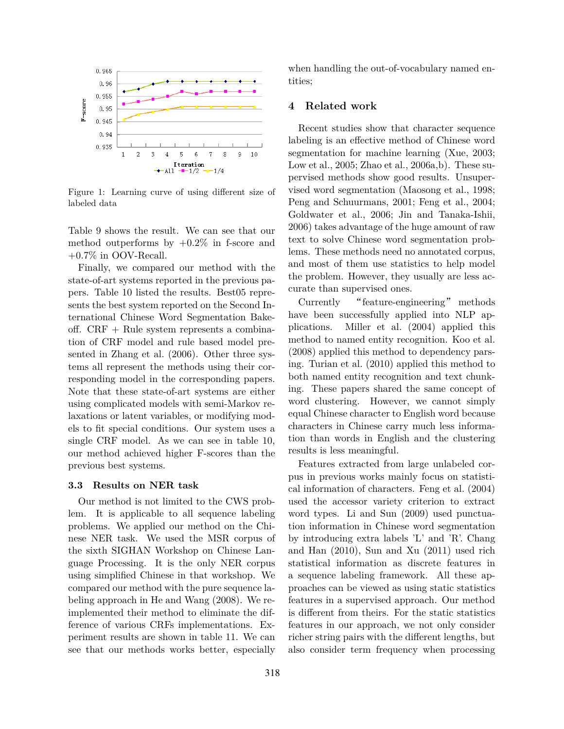

Figure 1: Learning curve of using different size of labeled data

Table 9 shows the result. We can see that our method outperforms by  $+0.2\%$  in f-score and  $+0.7\%$  in OOV-Recall.

Finally, we compared our method with the state-of-art systems reported in the previous papers. Table 10 listed the results. Best05 represents the best system reported on the Second International Chinese Word Segmentation Bakeoff. CRF + Rule system represents a combination of CRF model and rule based model presented in Zhang et al. (2006). Other three systems all represent the methods using their corresponding model in the corresponding papers. Note that these state-of-art systems are either using complicated models with semi-Markov relaxations or latent variables, or modifying models to fit special conditions. Our system uses a single CRF model. As we can see in table 10, our method achieved higher F-scores than the previous best systems.

## **3.3 Results on NER task**

Our method is not limited to the CWS problem. It is applicable to all sequence labeling problems. We applied our method on the Chinese NER task. We used the MSR corpus of the sixth SIGHAN Workshop on Chinese Language Processing. It is the only NER corpus using simplified Chinese in that workshop. We compared our method with the pure sequence labeling approach in He and Wang (2008). We reimplemented their method to eliminate the difference of various CRFs implementations. Experiment results are shown in table 11. We can see that our methods works better, especially when handling the out-of-vocabulary named entities;

# **4 Related work**

Recent studies show that character sequence labeling is an effective method of Chinese word segmentation for machine learning (Xue, 2003; Low et al., 2005; Zhao et al., 2006a,b). These supervised methods show good results. Unsupervised word segmentation (Maosong et al., 1998; Peng and Schuurmans, 2001; Feng et al., 2004; Goldwater et al., 2006; Jin and Tanaka-Ishii, 2006) takes advantage of the huge amount of raw text to solve Chinese word segmentation problems. These methods need no annotated corpus, and most of them use statistics to help model the problem. However, they usually are less accurate than supervised ones.

Currently "feature-engineering" methods have been successfully applied into NLP applications. Miller et al. (2004) applied this method to named entity recognition. Koo et al. (2008) applied this method to dependency parsing. Turian et al. (2010) applied this method to both named entity recognition and text chunking. These papers shared the same concept of word clustering. However, we cannot simply equal Chinese character to English word because characters in Chinese carry much less information than words in English and the clustering results is less meaningful.

Features extracted from large unlabeled corpus in previous works mainly focus on statistical information of characters. Feng et al. (2004) used the accessor variety criterion to extract word types. Li and Sun (2009) used punctuation information in Chinese word segmentation by introducing extra labels 'L' and 'R'. Chang and Han (2010), Sun and Xu (2011) used rich statistical information as discrete features in a sequence labeling framework. All these approaches can be viewed as using static statistics features in a supervised approach. Our method is different from theirs. For the static statistics features in our approach, we not only consider richer string pairs with the different lengths, but also consider term frequency when processing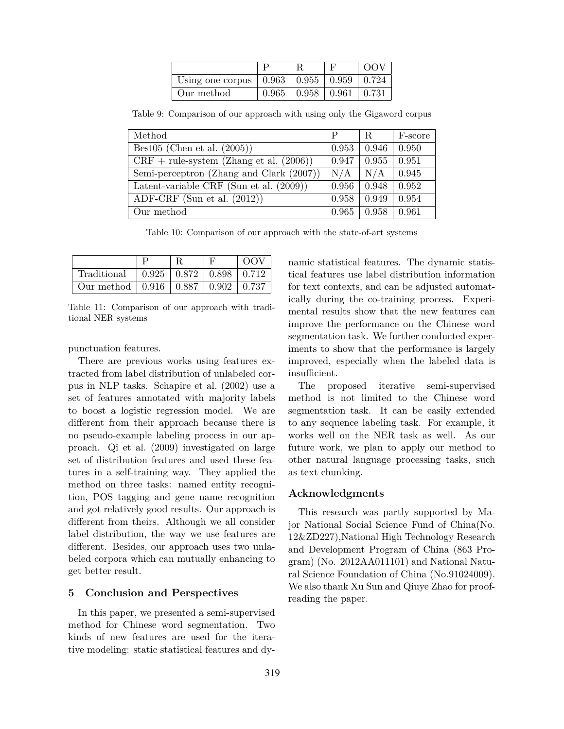|                                                          |       |                                       | $\Omega$ |
|----------------------------------------------------------|-------|---------------------------------------|----------|
| Using one corpus   $0.963$   $0.955$   $0.959$   $0.724$ |       |                                       |          |
| Our method                                               | 0.965 | $\vert 0.958 \vert 0.961 \vert 0.731$ |          |

Table 9: Comparison of our approach with using only the Gigaword corpus

| Method                                     | P     | R.                        | F-score      |
|--------------------------------------------|-------|---------------------------|--------------|
| Best05 (Chen et al. $(2005)$ )             | 0.953 | 0.946                     | 0.950        |
| $CRF + rule-system (Zhang et al. (2006))$  | 0.947 | 0.955                     | 0.951        |
| Semi-perceptron (Zhang and Clark (2007))   | N/A   | N/A                       | 0.945        |
| Latent-variable CRF (Sun et al. $(2009)$ ) | 0.956 | 0.948                     | $\mid$ 0.952 |
| ADF-CRF (Sun et al. $(2012)$ )             | 0.958 | 0.949                     | 0.954        |
| Our method                                 | 0.965 | $\vert 0.958 \vert 0.961$ |              |

Table 10: Comparison of our approach with the state-of-art systems

|                                                    |                                                   | റവ |
|----------------------------------------------------|---------------------------------------------------|----|
| Traditional                                        | $\vert 0.925 \vert 0.872 \vert 0.898 \vert 0.712$ |    |
| Our method   $0.916$   $0.887$   $0.902$   $0.737$ |                                                   |    |

Table 11: Comparison of our approach with traditional NER systems

punctuation features.

There are previous works using features extracted from label distribution of unlabeled corpus in NLP tasks. Schapire et al. (2002) use a set of features annotated with majority labels to boost a logistic regression model. We are different from their approach because there is no pseudo-example labeling process in our approach. Qi et al. (2009) investigated on large set of distribution features and used these features in a self-training way. They applied the method on three tasks: named entity recognition, POS tagging and gene name recognition and got relatively good results. Our approach is different from theirs. Although we all consider label distribution, the way we use features are different. Besides, our approach uses two unlabeled corpora which can mutually enhancing to get better result.

# **5 Conclusion and Perspectives**

In this paper, we presented a semi-supervised method for Chinese word segmentation. Two kinds of new features are used for the iterative modeling: static statistical features and dynamic statistical features. The dynamic statistical features use label distribution information for text contexts, and can be adjusted automatically during the co-training process. Experimental results show that the new features can improve the performance on the Chinese word segmentation task. We further conducted experiments to show that the performance is largely improved, especially when the labeled data is insufficient.

The proposed iterative semi-supervised method is not limited to the Chinese word segmentation task. It can be easily extended to any sequence labeling task. For example, it works well on the NER task as well. As our future work, we plan to apply our method to other natural language processing tasks, such as text chunking.

# **Acknowledgments**

This research was partly supported by Major National Social Science Fund of China(No. 12&ZD227),National High Technology Research and Development Program of China (863 Program) (No. 2012AA011101) and National Natural Science Foundation of China (No.91024009). We also thank Xu Sun and Qiuye Zhao for proofreading the paper.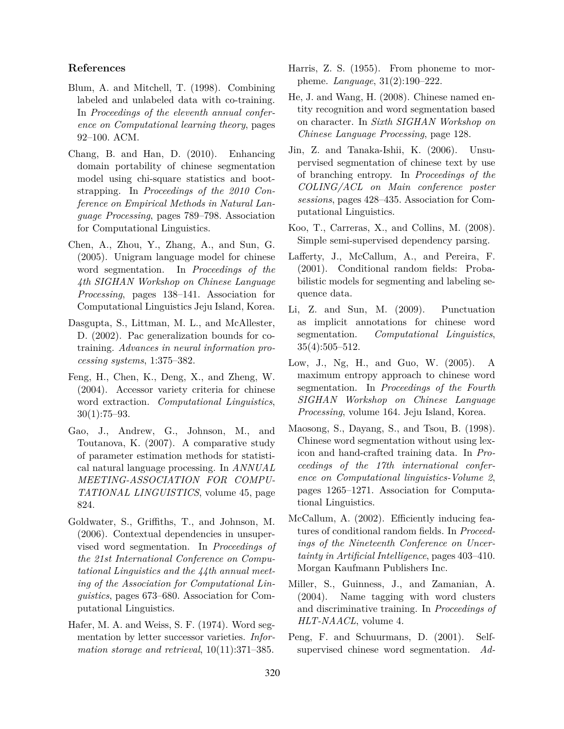# **References**

- Blum, A. and Mitchell, T. (1998). Combining labeled and unlabeled data with co-training. In *Proceedings of the eleventh annual conference on Computational learning theory*, pages 92–100. ACM.
- Chang, B. and Han, D. (2010). Enhancing domain portability of chinese segmentation model using chi-square statistics and bootstrapping. In *Proceedings of the 2010 Conference on Empirical Methods in Natural Language Processing*, pages 789–798. Association for Computational Linguistics.
- Chen, A., Zhou, Y., Zhang, A., and Sun, G. (2005). Unigram language model for chinese word segmentation. In *Proceedings of the 4th SIGHAN Workshop on Chinese Language Processing*, pages 138–141. Association for Computational Linguistics Jeju Island, Korea.
- Dasgupta, S., Littman, M. L., and McAllester, D. (2002). Pac generalization bounds for cotraining. *Advances in neural information processing systems*, 1:375–382.
- Feng, H., Chen, K., Deng, X., and Zheng, W. (2004). Accessor variety criteria for chinese word extraction. *Computational Linguistics*, 30(1):75–93.
- Gao, J., Andrew, G., Johnson, M., and Toutanova, K. (2007). A comparative study of parameter estimation methods for statistical natural language processing. In *ANNUAL MEETING-ASSOCIATION FOR COMPU-TATIONAL LINGUISTICS*, volume 45, page 824.
- Goldwater, S., Griffiths, T., and Johnson, M. (2006). Contextual dependencies in unsupervised word segmentation. In *Proceedings of the 21st International Conference on Computational Linguistics and the 44th annual meeting of the Association for Computational Linguistics*, pages 673–680. Association for Computational Linguistics.
- Hafer, M. A. and Weiss, S. F. (1974). Word segmentation by letter successor varieties. *Information storage and retrieval*, 10(11):371–385.
- Harris, Z. S. (1955). From phoneme to morpheme. *Language*, 31(2):190–222.
- He, J. and Wang, H. (2008). Chinese named entity recognition and word segmentation based on character. In *Sixth SIGHAN Workshop on Chinese Language Processing*, page 128.
- Jin, Z. and Tanaka-Ishii, K. (2006). Unsupervised segmentation of chinese text by use of branching entropy. In *Proceedings of the COLING/ACL on Main conference poster sessions*, pages 428–435. Association for Computational Linguistics.
- Koo, T., Carreras, X., and Collins, M. (2008). Simple semi-supervised dependency parsing.
- Lafferty, J., McCallum, A., and Pereira, F. (2001). Conditional random fields: Probabilistic models for segmenting and labeling sequence data.
- Li, Z. and Sun, M. (2009). Punctuation as implicit annotations for chinese word segmentation. *Computational Linguistics*, 35(4):505–512.
- Low, J., Ng, H., and Guo, W. (2005). A maximum entropy approach to chinese word segmentation. In *Proceedings of the Fourth SIGHAN Workshop on Chinese Language Processing*, volume 164. Jeju Island, Korea.
- Maosong, S., Dayang, S., and Tsou, B. (1998). Chinese word segmentation without using lexicon and hand-crafted training data. In *Proceedings of the 17th international conference on Computational linguistics-Volume 2*, pages 1265–1271. Association for Computational Linguistics.
- McCallum, A. (2002). Efficiently inducing features of conditional random fields. In *Proceedings of the Nineteenth Conference on Uncertainty in Artificial Intelligence*, pages 403–410. Morgan Kaufmann Publishers Inc.
- Miller, S., Guinness, J., and Zamanian, A. (2004). Name tagging with word clusters and discriminative training. In *Proceedings of HLT-NAACL*, volume 4.
- Peng, F. and Schuurmans, D. (2001). Selfsupervised chinese word segmentation. *Ad-*